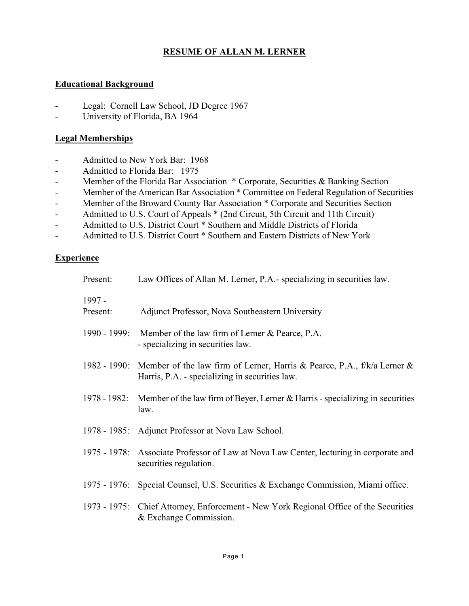# **RESUME OF ALLAN M. LERNER**

# **Educational Background**

- Legal: Cornell Law School, JD Degree 1967
- University of Florida, BA 1964

#### **Legal Memberships**

- Admitted to New York Bar: 1968
- Admitted to Florida Bar: 1975
- Member of the Florida Bar Association \* Corporate, Securities & Banking Section
- Member of the American Bar Association \* Committee on Federal Regulation of Securities
- Member of the Broward County Bar Association \* Corporate and Securities Section
- Admitted to U.S. Court of Appeals \* (2nd Circuit, 5th Circuit and 11th Circuit)
- Admitted to U.S. District Court \* Southern and Middle Districts of Florida
- Admitted to U.S. District Court \* Southern and Eastern Districts of New York

# **Experience**

| Present:             | Law Offices of Allan M. Lerner, P.A.- specializing in securities law.                                                       |
|----------------------|-----------------------------------------------------------------------------------------------------------------------------|
| $1997 -$<br>Present: | Adjunct Professor, Nova Southeastern University                                                                             |
| 1990 - 1999:         | Member of the law firm of Lerner & Pearce, P.A.<br>- specializing in securities law.                                        |
| 1982 - 1990:         | Member of the law firm of Lerner, Harris & Pearce, P.A., $f/k/a$ Lerner &<br>Harris, P.A. - specializing in securities law. |
| 1978 - 1982:         | Member of the law firm of Beyer, Lerner $&$ Harris - specializing in securities<br>law.                                     |
|                      | 1978 - 1985: Adjunct Professor at Nova Law School.                                                                          |
| 1975 - 1978:         | Associate Professor of Law at Nova Law Center, lecturing in corporate and<br>securities regulation.                         |
|                      | 1975 - 1976: Special Counsel, U.S. Securities & Exchange Commission, Miami office.                                          |
|                      | 1973 - 1975: Chief Attorney, Enforcement - New York Regional Office of the Securities<br>& Exchange Commission.             |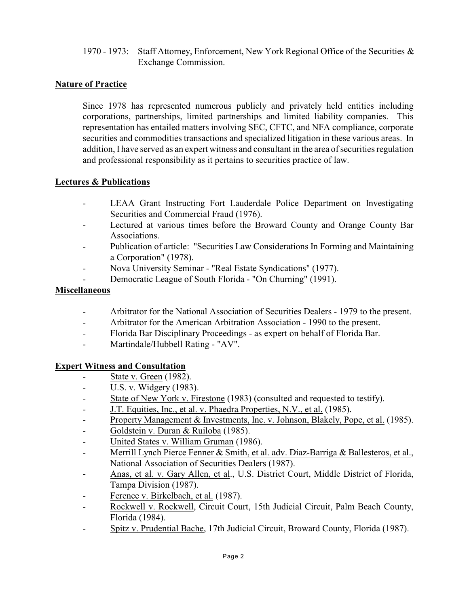1970 - 1973: Staff Attorney, Enforcement, New York Regional Office of the Securities & Exchange Commission.

# **Nature of Practice**

Since 1978 has represented numerous publicly and privately held entities including corporations, partnerships, limited partnerships and limited liability companies. This representation has entailed matters involving SEC, CFTC, and NFA compliance, corporate securities and commodities transactions and specialized litigation in these various areas. In addition, I have served as an expert witness and consultant in the area of securities regulation and professional responsibility as it pertains to securities practice of law.

# **Lectures & Publications**

- LEAA Grant Instructing Fort Lauderdale Police Department on Investigating Securities and Commercial Fraud (1976).
- Lectured at various times before the Broward County and Orange County Bar Associations.
- Publication of article: "Securities Law Considerations In Forming and Maintaining a Corporation" (1978).
- Nova University Seminar "Real Estate Syndications" (1977).
- Democratic League of South Florida "On Churning" (1991).

# **Miscellaneous**

- Arbitrator for the National Association of Securities Dealers 1979 to the present.
- Arbitrator for the American Arbitration Association 1990 to the present.
- Florida Bar Disciplinary Proceedings as expert on behalf of Florida Bar.
- Martindale/Hubbell Rating "AV".

# **Expert Witness and Consultation**

- State v. Green (1982).
- U.S. v. Widgery (1983).
- State of New York v. Firestone (1983) (consulted and requested to testify).
- J.T. Equities, Inc., et al. v. Phaedra Properties, N.V., et al. (1985).
- Property Management & Investments, Inc. v. Johnson, Blakely, Pope, et al. (1985).
- Goldstein v. Duran & Ruiloba (1985).
- United States v. William Gruman (1986).
- Merrill Lynch Pierce Fenner & Smith, et al. adv. Diaz-Barriga & Ballesteros, et al., National Association of Securities Dealers (1987).
- Anas, et al. v. Gary Allen, et al., U.S. District Court, Middle District of Florida, Tampa Division (1987).
- Ference v. Birkelbach, et al. (1987).
- Rockwell v. Rockwell, Circuit Court, 15th Judicial Circuit, Palm Beach County, Florida (1984).
- Spitz v. Prudential Bache, 17th Judicial Circuit, Broward County, Florida (1987).